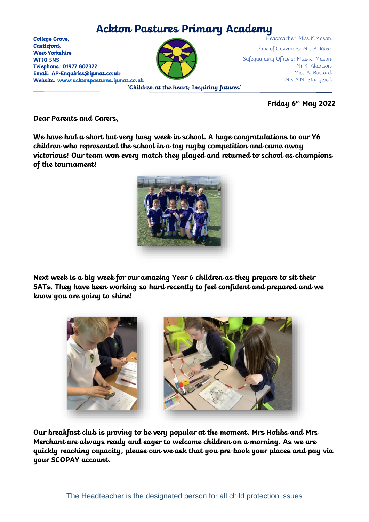

**Friday 6 th May 2022**

**Dear Parents and Carers,** 

**We have had a short but very busy week in school. A huge congratulations to our Y6 children who represented the school in a tag rugby competition and came away victorious! Our team won every match they played and returned to school as champions of the tournament!** 



**Next week is a big week for our amazing Year 6 children as they prepare to sit their SATs. They have been working so hard recently to feel confident and prepared and we know you are going to shine!** 



**Our breakfast club is proving to be very popular at the moment. Mrs Hobbs and Mrs Merchant are always ready and eager to welcome children on a morning. As we are quickly reaching capacity, please can we ask that you pre-book your places and pay via your SCOPAY account.**